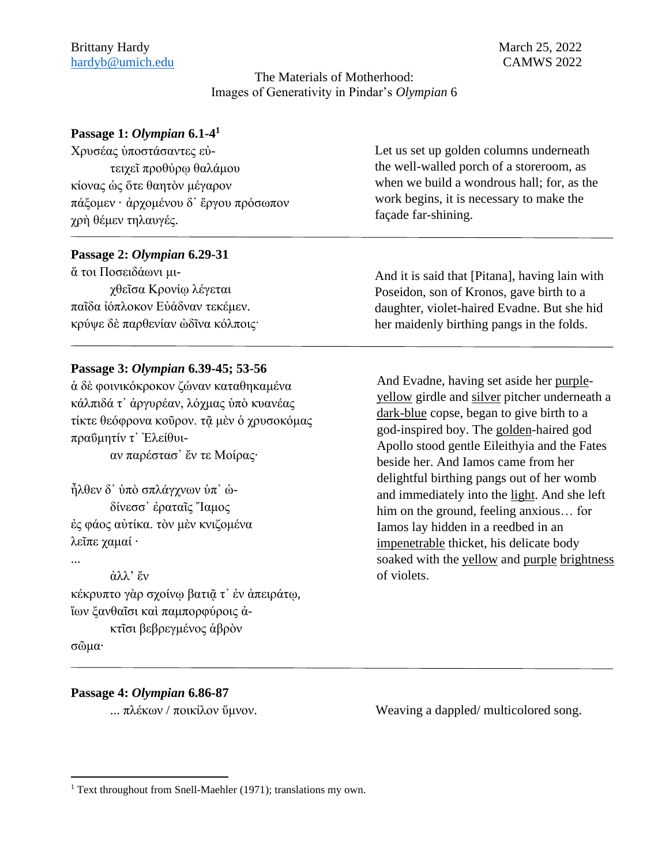## The Materials of Motherhood: Images of Generativity in Pindar's *Olympian* 6

# **Passage 1:** *Olympian* **6.1-4 1**

| Χρυσέας ύποστάσαντες εύ-                                                                     | Let us set up golden columns underneath                                                                       |
|----------------------------------------------------------------------------------------------|---------------------------------------------------------------------------------------------------------------|
| τειχεί προθύρω θαλάμου                                                                       | the well-walled porch of a storeroom, as                                                                      |
| κίονας ως ότε θαητον μέγαρον<br>πάξομεν · άρχομένου δ' έργου πρόσωπον<br>χρή θέμεν τηλαυγές. | when we build a wondrous hall; for, as the<br>work begins, it is necessary to make the<br>façade far-shining. |

## **Passage 2:** *Olympian* **6.29-31**

ἅ τοι Ποσειδάωνι μιχθεῖσα Κρονίῳ λέγεται παῖδα ἰόπλοκον Εὐάδναν τεκέμεν. κρύψε δὲ παρθενίαν ὠδῖνα κόλποις·

And it is said that [Pitana], having lain with Poseidon, son of Kronos, gave birth to a daughter, violet-haired Evadne. But she hid her maidenly birthing pangs in the folds.

#### **Passage 3:** *Olympian* **6.39-45; 53-56**

ἁ δὲ φοινικόκροκον ζώναν καταθηκαμένα κάλπιδά τ᾽ ἀργυρέαν, λόχμας ὑπὸ κυανέας τίκτε θεόφρονα κοῦρον. τᾶ μὲν ὁ γρυσοκόμας πραΰμητίν τ᾽ Ἐλείθυι-

αν παρέστασ᾽ ἔν τε Μοίρας·

ἦλθεν δ᾽ ὑπὸ σπλάγχνων ὑπ᾽ ὠδίνεσσ᾽ ἐραταῖς Ἴαμος ἐς φάος αὐτίκα. τὸν μὲν κνιζομένα λεῖπε χαμαί ·

...

#### ἀλλ' ἔν

κέκρυπτο γὰρ σχοίνῳ βατιῷ τ' ἐν ἀπειράτῳ, ἴων ξανθαῖσι καὶ παμπορφύροις ἀκτῖσι βεβρεγμένος ἁβρὸν

σῶμα·

## **Passage 4:** *Olympian* **6.86-87**

And Evadne, having set aside her purpleyellow girdle and silver pitcher underneath a dark-blue copse, began to give birth to a god-inspired boy. The golden-haired god Apollo stood gentle Eileithyia and the Fates beside her. And Iamos came from her delightful birthing pangs out of her womb and immediately into the light. And she left him on the ground, feeling anxious… for Iamos lay hidden in a reedbed in an impenetrable thicket, his delicate body soaked with the yellow and purple brightness of violets.

... πλέκων / ποικίλον ὕμνον. Weaving a dappled/ multicolored song.

<sup>&</sup>lt;sup>1</sup> Text throughout from Snell-Maehler (1971); translations my own.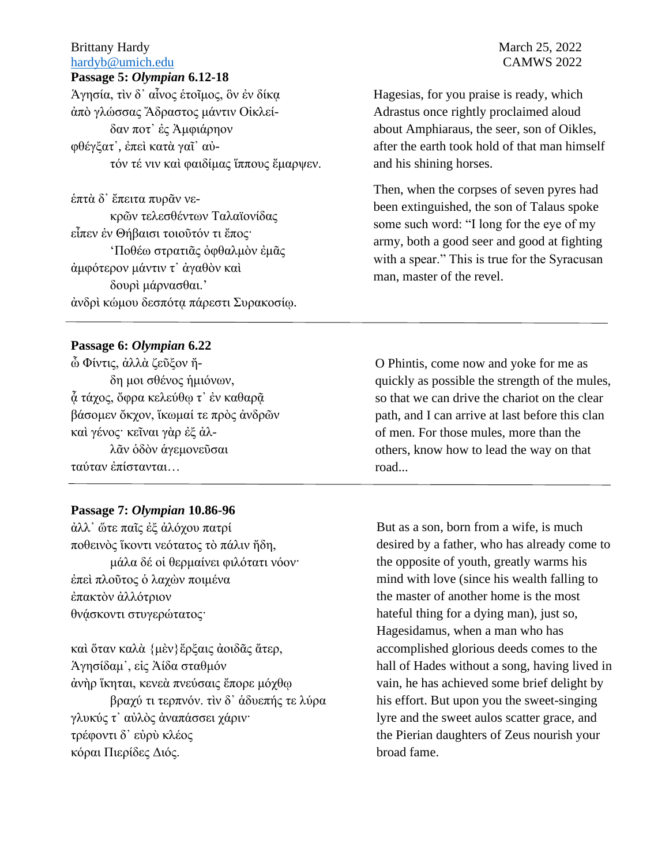## Brittany Hardy March 25, 2022 [hardyb@umich.edu](mailto:hardyb@umich.edu) CAMWS 2022

#### **Passage 5:** *Olympian* **6.12-18**

Ἁγησία, τὶν δ᾿ αἶνος ἑτοῖμος, ὃν ἐν δίκᾳ ἀπὸ γλώσσας Ἄδραστος μάντιν Οἰκλείδαν ποτ᾿ ἐς Ἀμφιάρηον φθέγξατ᾿, ἐπεὶ κατὰ γαῖ᾿ αὐτόν τέ νιν καὶ φαιδίμας ἵππους ἔμαρψεν.

ἑπτὰ δ᾿ ἔπειτα πυρᾶν νεκρῶν τελεσθέντων Ταλαϊονίδας εἶπεν ἐν Θήβαισι τοιοῦτόν τι ἔπος· 'Ποθέω στρατιᾶς ὀφθαλμὸν ἐμᾶς ἀμφότερον μάντιν τ᾿ ἀγαθὸν καὶ δουρὶ μάρνασθαι.' ἀνδρὶ κώμου δεσπότᾳ πάρεστι Συρακοσίῳ.

#### **Passage 6:** *Olympian* **6.22**

ὦ Φίντις, ἀλλὰ ζεῦξον ἤδη μοι σθένος ἡμιόνων, ά τάχος, ὄφρα κελεύθω τ' έν καθαρᾶ βάσομεν ὄκχον, ἵκωμαί τε πρὸς ἀνδρῶν καὶ γένος· κεῖναι γὰρ ἐξ ἀλλᾶν ὁδὸν ἁγεμονεῦσαι ταύταν ἐπίστανται…

# **Passage 7:** *Olympian* **10.86-96**

ἀλλ᾿ ὥτε παῖς ἐξ ἀλόχου πατρί ποθεινὸς ἵκοντι νεότατος τὸ πάλιν ἤδη, μάλα δέ οἱ θερμαίνει φιλότατι νόον· ἐπεὶ πλοῦτος ὁ λαχὼν ποιμένα ἐπακτὸν ἀλλότριον θνᾴσκοντι στυγερώτατος·

καὶ ὅταν καλὰ {μὲν}ἔρξαις ἀοιδᾶς ἄτερ, Ἁγησίδαμ᾿, εἰς Ἀίδα σταθμόν ἀνὴρ ἵκηται, κενεὰ πνεύσαις ἔπορε μόχθῳ βραχύ τι τερπνόν. τὶν δ᾿ ἁδυεπής τε λύρα γλυκύς τ᾿ αὐλὸς ἀναπάσσει χάριν· τρέφοντι δ᾿ εὐρὺ κλέος κόραι Πιερίδες Διός.

Hagesias, for you praise is ready, which Adrastus once rightly proclaimed aloud about Amphiaraus, the seer, son of Oikles, after the earth took hold of that man himself and his shining horses.

Then, when the corpses of seven pyres had been extinguished, the son of Talaus spoke some such word: "I long for the eye of my army, both a good seer and good at fighting with a spear." This is true for the Syracusan man, master of the revel.

O Phintis, come now and yoke for me as quickly as possible the strength of the mules, so that we can drive the chariot on the clear path, and I can arrive at last before this clan of men. For those mules, more than the others, know how to lead the way on that road...

But as a son, born from a wife, is much desired by a father, who has already come to the opposite of youth, greatly warms his mind with love (since his wealth falling to the master of another home is the most hateful thing for a dying man), just so, Hagesidamus, when a man who has accomplished glorious deeds comes to the hall of Hades without a song, having lived in vain, he has achieved some brief delight by his effort. But upon you the sweet-singing lyre and the sweet aulos scatter grace, and the Pierian daughters of Zeus nourish your broad fame.